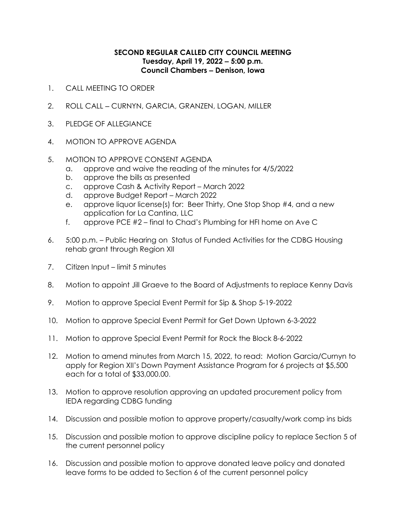## **SECOND REGULAR CALLED CITY COUNCIL MEETING Tuesday, April 19, 2022 ‒ 5:00 p.m. Council Chambers ‒ Denison, Iowa**

- 1. CALL MEETING TO ORDER
- 2. ROLL CALL CURNYN, GARCIA, GRANZEN, LOGAN, MILLER
- 3. PLEDGE OF ALLEGIANCE
- 4. MOTION TO APPROVE AGENDA

## 5. MOTION TO APPROVE CONSENT AGENDA

- a. approve and waive the reading of the minutes for 4/5/2022
- b. approve the bills as presented
- c. approve Cash & Activity Report March 2022
- d. approve Budget Report March 2022
- e. approve liquor license(s) for: Beer Thirty, One Stop Shop #4, and a new application for La Cantina, LLC
- f. approve PCE #2 final to Chad's Plumbing for HFI home on Ave C
- 6. 5:00 p.m. Public Hearing on Status of Funded Activities for the CDBG Housing rehab grant through Region XII
- 7. Citizen Input limit 5 minutes
- 8. Motion to appoint Jill Graeve to the Board of Adjustments to replace Kenny Davis
- 9. Motion to approve Special Event Permit for Sip & Shop 5-19-2022
- 10. Motion to approve Special Event Permit for Get Down Uptown 6-3-2022
- 11. Motion to approve Special Event Permit for Rock the Block 8-6-2022
- 12. Motion to amend minutes from March 15, 2022, to read: Motion Garcia/Curnyn to apply for Region XII's Down Payment Assistance Program for 6 projects at \$5,500 each for a total of \$33,000.00.
- 13. Motion to approve resolution approving an updated procurement policy from IEDA regarding CDBG funding
- 14. Discussion and possible motion to approve property/casualty/work comp ins bids
- 15. Discussion and possible motion to approve discipline policy to replace Section 5 of the current personnel policy
- 16. Discussion and possible motion to approve donated leave policy and donated leave forms to be added to Section 6 of the current personnel policy